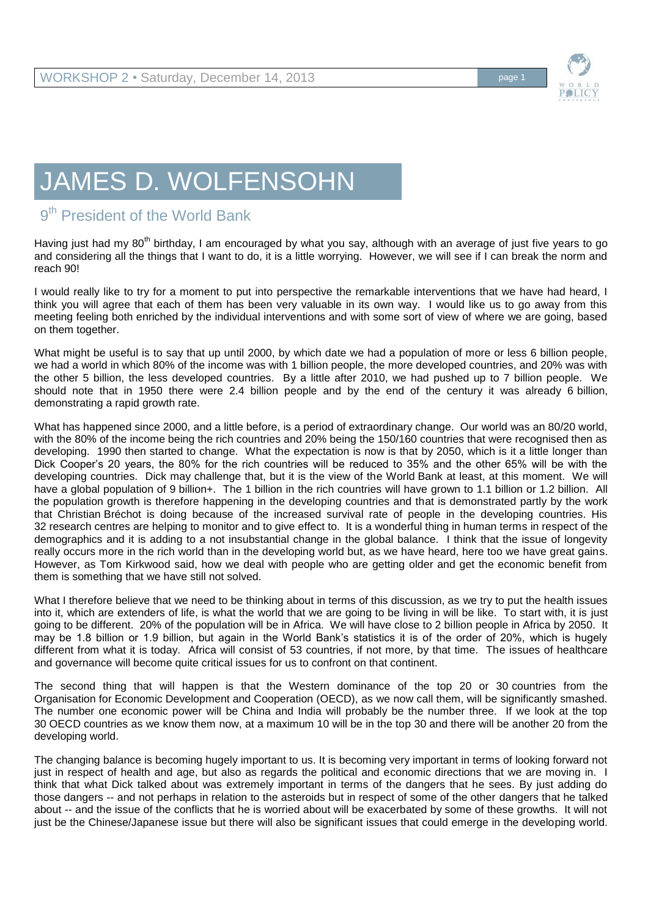

## JAMES D. WOLFENSOHN

## 9<sup>th</sup> President of the World Bank

Having just had my 80<sup>th</sup> birthday, I am encouraged by what you say, although with an average of just five years to go and considering all the things that I want to do, it is a little worrying. However, we will see if I can break the norm and reach 90!

I would really like to try for a moment to put into perspective the remarkable interventions that we have had heard, I think you will agree that each of them has been very valuable in its own way. I would like us to go away from this meeting feeling both enriched by the individual interventions and with some sort of view of where we are going, based on them together.

What might be useful is to say that up until 2000, by which date we had a population of more or less 6 billion people, we had a world in which 80% of the income was with 1 billion people, the more developed countries, and 20% was with the other 5 billion, the less developed countries. By a little after 2010, we had pushed up to 7 billion people. We should note that in 1950 there were 2.4 billion people and by the end of the century it was already 6 billion, demonstrating a rapid growth rate.

What has happened since 2000, and a little before, is a period of extraordinary change. Our world was an 80/20 world, with the 80% of the income being the rich countries and 20% being the 150/160 countries that were recognised then as developing. 1990 then started to change. What the expectation is now is that by 2050, which is it a little longer than Dick Cooper's 20 years, the 80% for the rich countries will be reduced to 35% and the other 65% will be with the developing countries. Dick may challenge that, but it is the view of the World Bank at least, at this moment. We will have a global population of 9 billion+. The 1 billion in the rich countries will have grown to 1.1 billion or 1.2 billion. All the population growth is therefore happening in the developing countries and that is demonstrated partly by the work that Christian Bréchot is doing because of the increased survival rate of people in the developing countries. His 32 research centres are helping to monitor and to give effect to. It is a wonderful thing in human terms in respect of the demographics and it is adding to a not insubstantial change in the global balance. I think that the issue of longevity really occurs more in the rich world than in the developing world but, as we have heard, here too we have great gains. However, as Tom Kirkwood said, how we deal with people who are getting older and get the economic benefit from them is something that we have still not solved.

What I therefore believe that we need to be thinking about in terms of this discussion, as we try to put the health issues into it, which are extenders of life, is what the world that we are going to be living in will be like. To start with, it is just going to be different. 20% of the population will be in Africa. We will have close to 2 billion people in Africa by 2050. It may be 1.8 billion or 1.9 billion, but again in the World Bank's statistics it is of the order of 20%, which is hugely different from what it is today. Africa will consist of 53 countries, if not more, by that time. The issues of healthcare and governance will become quite critical issues for us to confront on that continent.

The second thing that will happen is that the Western dominance of the top 20 or 30 countries from the Organisation for Economic Development and Cooperation (OECD), as we now call them, will be significantly smashed. The number one economic power will be China and India will probably be the number three. If we look at the top 30 OECD countries as we know them now, at a maximum 10 will be in the top 30 and there will be another 20 from the developing world.

The changing balance is becoming hugely important to us. It is becoming very important in terms of looking forward not just in respect of health and age, but also as regards the political and economic directions that we are moving in. I think that what Dick talked about was extremely important in terms of the dangers that he sees. By just adding do those dangers -- and not perhaps in relation to the asteroids but in respect of some of the other dangers that he talked about -- and the issue of the conflicts that he is worried about will be exacerbated by some of these growths. It will not just be the Chinese/Japanese issue but there will also be significant issues that could emerge in the developing world.